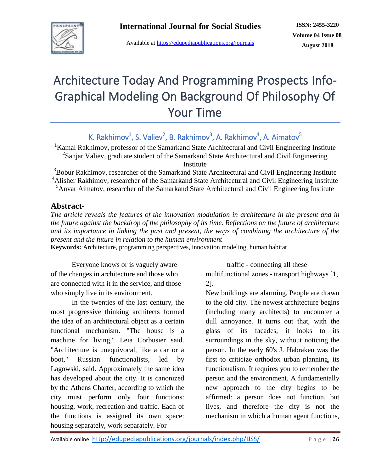

Available at<https://edupediapublications.org/journals>

# Architecture Today And Programming Prospects Info-Graphical Modeling On Background Of Philosophy Of Your Time

K. Rakhimov<sup>1</sup>, S. Valiev<sup>2</sup>, B. Rakhimov<sup>3</sup>, A. Rakhimov<sup>4</sup>, A. Aimatov<sup>5</sup>

<sup>1</sup>Kamal Rakhimov, professor of the Samarkand State Architectural and Civil Engineering Institute <sup>2</sup>Sanjar Valiev, graduate student of the Samarkand State Architectural and Civil Engineering Institute

 $3B$ obur Rakhimov, researcher of the Samarkand State Architectural and Civil Engineering Institute <sup>4</sup>Alisher Rakhimov, researcher of the Samarkand State Architectural and Civil Engineering Institute <sup>5</sup>Anvar Aimatov, researcher of the Samarkand State Architectural and Civil Engineering Institute

### **Abstract-**

*The article reveals the features of the innovation modulation in architecture in the present and in the future against the backdrop of the philosophy of its time. Reflections on the future of architecture and its importance in linking the past and present, the ways of combining the architecture of the present and the future in relation to the human environment*

**Keywords:** Architecture, programming perspectives, innovation modeling, human habitat

Everyone knows or is vaguely aware of the changes in architecture and those who are connected with it in the service, and those who simply live in its environment.

In the twenties of the last century, the most progressive thinking architects formed the idea of an architectural object as a certain functional mechanism. "The house is a machine for living," Leia Corbusier said. "Architecture is unequivocal, like a car or a boot," Russian functionalists, led by Lagowski, said. Approximately the same idea has developed about the city. It is canonized by the Athens Charter, according to which the city must perform only four functions: housing, work, recreation and traffic. Each of the functions is assigned its own space: housing separately, work separately. For

traffic - connecting all these

multifunctional zones - transport highways [1, 2].

New buildings are alarming. People are drawn to the old city. The newest architecture begins (including many architects) to encounter a dull annoyance. It turns out that, with the glass of its facades, it looks to its surroundings in the sky, without noticing the person. In the early 60's J. Habraken was the first to criticize orthodox urban planning, its functionalism. It requires you to remember the person and the environment. A fundamentally new approach to the city begins to be affirmed: a person does not function, but lives, and therefore the city is not the mechanism in which a human agent functions,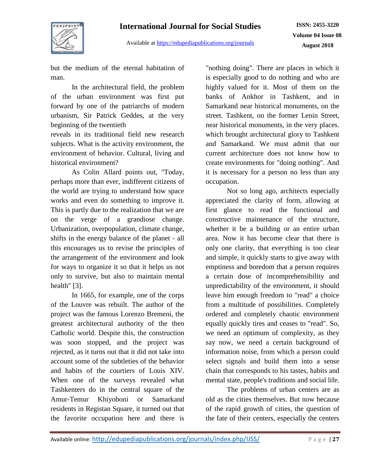# **International Journal for Social Studies**



Available at<https://edupediapublications.org/journals>

**ISSN: 2455-3220 Volume 04 Issue 08 August 2018**

but the medium of the eternal habitation of man.

In the architectural field, the problem of the urban environment was first put forward by one of the patriarchs of modern urbanism, Sir Patrick Geddes, at the very beginning of the twentieth

reveals in its traditional field new research subjects. What is the activity environment, the environment of behavior. Cultural, living and historical environment?

As Colin Allard points out, "Today, perhaps more than ever, indifferent citizens of the world are trying to understand how space works and even do something to improve it. This is partly due to the realization that we are on the verge of a grandiose change. Urbanization, overpopulation, climate change, shifts in the energy balance of the planet - all this encourages us to revise the principles of the arrangement of the environment and look for ways to organize it so that it helps us not only to survive, but also to maintain mental health" [3].

In 1665, for example, one of the corps of the Louvre was rebuilt. The author of the project was the famous Lorenzo Bremeni, the greatest architectural authority of the then Catholic world. Despite this, the construction was soon stopped, and the project was rejected, as it turns out that it did not take into account some of the subtleties of the behavior and habits of the courtiers of Louis XIV. When one of the surveys revealed what Tashkenters do in the central square of the Amur-Temur Khiyoboni or Samarkand residents in Registan Square, it turned out that the favorite occupation here and there is

"nothing doing". There are places in which it is especially good to do nothing and who are highly valued for it. Most of them on the banks of Ankhor in Tashkent, and in Samarkand near historical monuments, on the street. Tashkent, on the former Lenin Street, near historical monuments, in the very places. which brought architectural glory to Tashkent and Samarkand. We must admit that our current architecture does not know how to create environments for "doing nothing". And it is necessary for a person no less than any occupation.

Not so long ago, architects especially appreciated the clarity of form, allowing at first glance to read the functional and constructive maintenance of the structure, whether it be a building or an entire urban area. Now it has become clear that there is only one clarity, that everything is too clear and simple, it quickly starts to give away with emptiness and boredom that a person requires a certain dose of incomprehensibility and unpredictability of the environment, it should leave him enough freedom to "read" a choice from a multitude of possibilities. Completely ordered and completely chaotic environment equally quickly tires and ceases to "read". So, we need an optimum of complexity, as they say now, we need a certain background of information noise, from which a person could select signals and build them into a sense chain that corresponds to his tastes, habits and mental state, people's traditions and social life.

The problems of urban centers are as old as the cities themselves. But now because of the rapid growth of cities, the question of the fate of their centers, especially the centers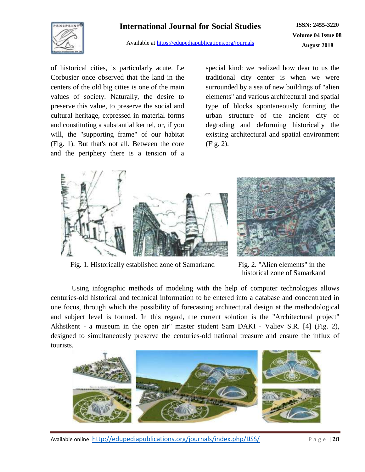# **International Journal for Social Studies**



Available at<https://edupediapublications.org/journals>

**ISSN: 2455-3220 Volume 04 Issue 08 August 2018**

of historical cities, is particularly acute. Le Corbusier once observed that the land in the centers of the old big cities is one of the main values of society. Naturally, the desire to preserve this value, to preserve the social and cultural heritage, expressed in material forms and constituting a substantial kernel, or, if you will, the "supporting frame" of our habitat (Fig. 1). But that's not all. Between the core and the periphery there is a tension of a special kind: we realized how dear to us the traditional city center is when we were surrounded by a sea of new buildings of "alien elements" and various architectural and spatial type of blocks spontaneously forming the urban structure of the ancient city of degrading and deforming historically the existing architectural and spatial environment (Fig. 2).





Fig. 1. Historically established zone of Samarkand Fig. 2. "Alien elements" in the

historical zone of Samarkand

Using infographic methods of modeling with the help of computer technologies allows centuries-old historical and technical information to be entered into a database and concentrated in one focus, through which the possibility of forecasting architectural design at the methodological and subject level is formed. In this regard, the current solution is the "Architectural project" Akhsikent - a museum in the open air" master student Sam DAKI - Valiev S.R. [4] (Fig. 2), designed to simultaneously preserve the centuries-old national treasure and ensure the influx of tourists.

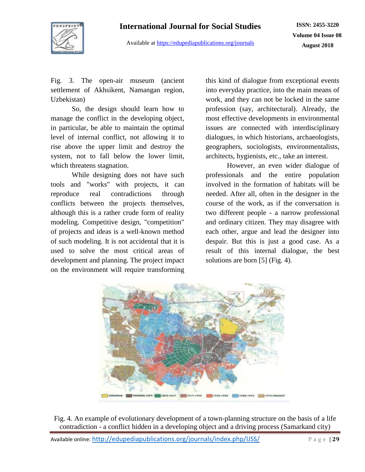

Available at<https://edupediapublications.org/journals>

Fig. 3. The open-air museum (ancient settlement of Akhsikent, Namangan region, Uzbekistan)

So, the design should learn how to manage the conflict in the developing object, in particular, be able to maintain the optimal level of internal conflict, not allowing it to rise above the upper limit and destroy the system, not to fall below the lower limit, which threatens stagnation.

While designing does not have such tools and "works" with projects, it can reproduce real contradictions through conflicts between the projects themselves, although this is a rather crude form of reality modeling. Competitive design, "competition" of projects and ideas is a well-known method of such modeling. It is not accidental that it is used to solve the most critical areas of development and planning. The project impact on the environment will require transforming

this kind of dialogue from exceptional events into everyday practice, into the main means of work, and they can not be locked in the same profession (say, architectural). Already, the most effective developments in environmental issues are connected with interdisciplinary dialogues, in which historians, archaeologists, geographers, sociologists, environmentalists, architects, hygienists, etc., take an interest.

However, an even wider dialogue of professionals and the entire population involved in the formation of habitats will be needed. After all, often in the designer in the course of the work, as if the conversation is two different people - a narrow professional and ordinary citizen. They may disagree with each other, argue and lead the designer into despair. But this is just a good case. As a result of this internal dialogue, the best solutions are born [5] (Fig. 4).



Fig. 4. An example of evolutionary development of a town-planning structure on the basis of a life contradiction - a conflict hidden in a developing object and a driving process (Samarkand city)